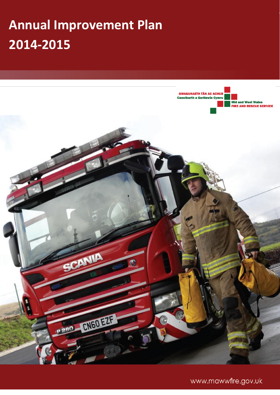# **Annual Improvement Plan 2014-2015**



www.mawwfire.gov.uk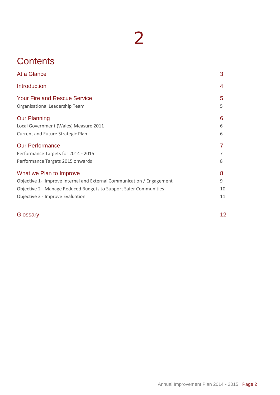# **Contents**

| At a Glance                                                                                                                                                                                               | 3                  |
|-----------------------------------------------------------------------------------------------------------------------------------------------------------------------------------------------------------|--------------------|
| <b>Introduction</b>                                                                                                                                                                                       | 4                  |
| <b>Your Fire and Rescue Service</b><br>Organisational Leadership Team                                                                                                                                     | 5<br>5             |
| <b>Our Planning</b><br>Local Government (Wales) Measure 2011<br>Current and Future Strategic Plan                                                                                                         | 6<br>6<br>6        |
| <b>Our Performance</b><br>Performance Targets for 2014 - 2015<br>Performance Targets 2015 onwards                                                                                                         | 8                  |
| What we Plan to Improve<br>Objective 1- Improve Internal and External Communication / Engagement<br>Objective 2 - Manage Reduced Budgets to Support Safer Communities<br>Objective 3 - Improve Evaluation | 8<br>9<br>10<br>11 |
| Glossary                                                                                                                                                                                                  | 12                 |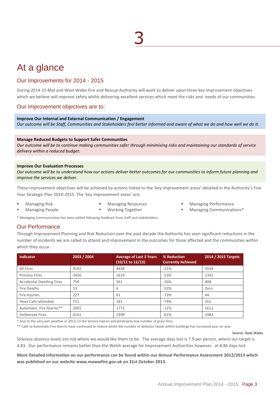# At a glance

### Our Improvements for 2014 - 2015

During 2014-15 Mid and West Wales Fire and Rescue Authority will work to deliver upon three key improvement objectives which we believe will improve safety whilst delivering excellent services which meet the risks and needs of our communities.

### Our Improvement objectives are to:

**Improve Our Internal and External Communication / Engagement** *Our outcome will be Staff, Communities and Stakeholders feel better informed and aware of what we do and how well we do it.*

#### **Manage Reduced Budgets to Support Safer Communities**

*Our outcome will be to continue making communities safer through minimising risks and maintaining our standards of service delivery within a reduced budget.*

#### **Improve Our Evaluation Processes**

*Our outcome will be to understand how our actions deliver better outcomes for our communities to inform future planning and improve the services we deliver.*

These improvement objectives will be achieved by actions linked to the 'key improvement areas' detailed in the Authority's Five Year Strategic Plan 2010-2015. The 'key improvement areas' are;

Managing Risk

- **Managing Resources**
- Managing Performance
- Managing People
- **Working Together**
- 
- Managing Communications\*

\* Managing Communication has been added following feedback from staff and stakeholders.

### Our Performance

Through Improvement Planning and Risk Reduction over the past decade the Authority has seen significant reductions in the number of incidents we are called to attend and improvement in the outcomes for those affected and the communities within which they occur.

| <b>Indicator</b>                 | 2003 / 2004 | <b>Average of Last 3 Years</b><br>$(10/11$ to $12/13)$ | % Reduction<br><b>Currently Achieved</b> | 2014 / 2015 Targets |
|----------------------------------|-------------|--------------------------------------------------------|------------------------------------------|---------------------|
| All Fires                        | 9192        | 4458                                                   | $-51%$                                   | 3554                |
| <b>Primary Fires</b>             | 3456        | 1619                                                   | $-53%$                                   | 1341                |
| <b>Accidental Dwelling Fires</b> | 759         | 561                                                    | $-26%$                                   | 408                 |
| Fire Deaths                      | 13          | 6                                                      | $-53%$                                   | Zero                |
| Fire Injuries                    | 227         | 61                                                     | $-73%$                                   | 44                  |
| Hoax Calls attended              | 711         | 181                                                    | $-74%$                                   | 161                 |
| Automatic Fire Alarms**          | 2001        | 1771                                                   | $-11%$                                   | 1611                |
| Deliberate Fires                 | 6161        | 2399                                                   | $-61%$                                   | 1983                |

\* Due to the very wet weather in 2012-13 the Service had an extraordinarily low number of grass fires.

\*\* Calls to Automatic Fire Alarms have continued to reduce whilst the number of detector heads within buildings has increased year on year.

**Source. Stats Wales**

Sickness absence levels are not where we would like them to be. The average days lost is 7.9 per person, where our target is 4.83. Our performance remains better than the Welsh average for Improvement Authorities however, at 8.86 days lost.

**More Detailed information on our performance can be found within our Annual Performance Assessment 2012/2013 which was published on our website www.mawwfire.gov.uk on 31st October 2013.**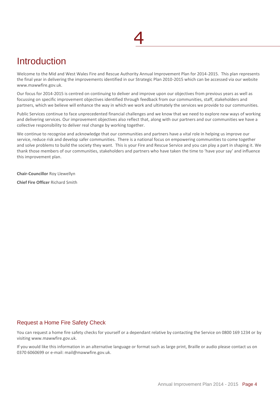## **Introduction**

Welcome to the Mid and West Wales Fire and Rescue Authority Annual Improvement Plan for 2014-2015. This plan represents the final year in delivering the improvements identified in our Strategic Plan 2010-2015 which can be accessed via our website www.mawwfire.gov.uk.

Our focus for 2014-2015 is centred on continuing to deliver and improve upon our objectives from previous years as well as focussing on specific improvement objectives identified through feedback from our communities, staff, stakeholders and partners, which we believe will enhance the way in which we work and ultimately the services we provide to our communities.

Public Services continue to face unprecedented financial challenges and we know that we need to explore new ways of working and delivering services. Our improvement objectives also reflect that, along with our partners and our communities we have a collective responsibility to deliver real change by working together.

We continue to recognise and acknowledge that our communities and partners have a vital role in helping us improve our service, reduce risk and develop safer communities. There is a national focus on empowering communities to come together and solve problems to build the society they want. This is your Fire and Rescue Service and you can play a part in shaping it. We thank those members of our communities, stakeholders and partners who have taken the time to 'have your say' and influence this improvement plan.

**Chair-Councillor** Roy Llewellyn

**Chief Fire Officer** Richard Smith

### Request a Home Fire Safety Check

You can request a home fire safety checks for yourself or a dependant relative by contacting the Service on 0800 169 1234 or by visiting www.mawwfire.gov.uk.

If you would like this information in an alternative language or format such as large print, Braille or audio please contact us on 0370 6060699 or e-mail: mail@mawwfire.gov.uk.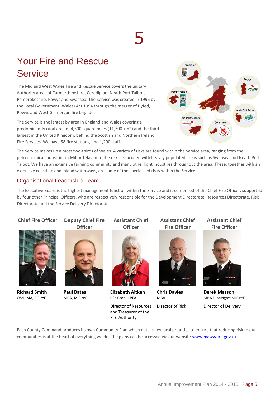# Your Fire and Rescue Service

The Mid and West Wales Fire and Rescue Service covers the unitary Authority areas of Carmarthenshire, Ceredigion, Neath Port Talbot, Pembrokeshire, Powys and Swansea. The Service was created in 1996 by the Local Government (Wales) Act 1994 through the merger of Dyfed, Powys and West Glamorgan fire brigades.

The Service is the largest by area in England and Wales covering a predominantly rural area of 4,500 square miles (11,700 km2) and the third largest in the United Kingdom, behind the Scottish and Northern Ireland Fire Services. We have 58 fire stations, and 1,200 staff.



The Service makes up almost two-thirds of Wales. A variety of risks are found within the Service area, ranging from the petrochemical industries in Milford Haven to the risks associated with heavily populated areas such as Swansea and Neath Port Talbot. We have an extensive farming community and many other light industries throughout the area. These, together with an extensive coastline and inland waterways, are some of the specialised risks within the Service.

## Organisational Leadership Team

The Executive Board is the highest management function within the Service and is comprised of the Chief Fire Officer, supported by four other Principal Officers, who are respectively responsible for the Development Directorate, Resources Directorate, Risk Directorate and the Service Delivery Directorate.

### **Chief Fire Officer Deputy Chief Fire**



**Richard Smith**  OStJ, MA, FIFireE

**Officer**



**Paul Bates** MBA, MIFireE

**Assistant Chief Officer**



**Elizabeth Aitken** BSc Econ, CPFA

Director of Resources and Treasurer of the Fire Authority

**Assistant Chief Fire Officer**



**Chris Davies MRA** 

Director of Risk

**Assistant Chief Fire Officer**



**Derek Masson** MBA Dip/Mgmt MIFireE Director of Delivery

Each County Command produces its own Community Plan which details key local priorities to ensure that reducing risk to our communities is at the heart of everything we do. The plans can be accessed via our website [www.mawwfire.gov.uk.](http://www.mawwfire.gov.uk/)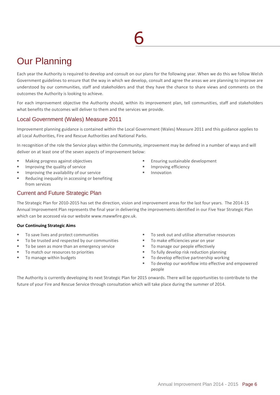# Our Planning

Each year the Authority is required to develop and consult on our plans for the following year. When we do this we follow Welsh Government guidelines to ensure that the way in which we develop, consult and agree the areas we are planning to improve are understood by our communities, staff and stakeholders and that they have the chance to share views and comments on the outcomes the Authority is looking to achieve.

For each improvement objective the Authority should, within its improvement plan, tell communities, staff and stakeholders what benefits the outcomes will deliver to them and the services we provide.

## Local Government (Wales) Measure 2011

Improvement planning guidance is contained within the Local Government (Wales) Measure 2011 and this guidance applies to all Local Authorities, Fire and Rescue Authorities and National Parks.

In recognition of the role the Service plays within the Community, improvement may be defined in a number of ways and will deliver on at least one of the seven aspects of improvement below:

- Making progress against objectives
- Improving the quality of service
- Improving the availability of our service
- Reducing inequality in accessing or benefiting from services

## Current and Future Strategic Plan

The Strategic Plan for 2010-2015 has set the direction, vision and improvement areas for the last four years. The 2014-15 Annual Improvement Plan represents the final year in delivering the improvements identified in our Five Year Strategic Plan which can be accessed via our website www.mawwfire.gov.uk.

### **Our Continuing Strategic Aims**

- To save lives and protect communities
- To be trusted and respected by our communities
- To be seen as more than an emergency service
- To match our resources to priorities
- To manage within budgets
- Ensuring sustainable development
- **Improving efficiency**
- **Innovation**

- To seek out and utilise alternative resources
- To make efficiencies year on year
- To manage our people effectively
- To fully develop risk reduction planning
- To develop effective partnership working
- To develop our workflow into effective and empowered people

The Authority is currently developing its next Strategic Plan for 2015 onwards. There will be opportunities to contribute to the future of your Fire and Rescue Service through consultation which will take place during the summer of 2014.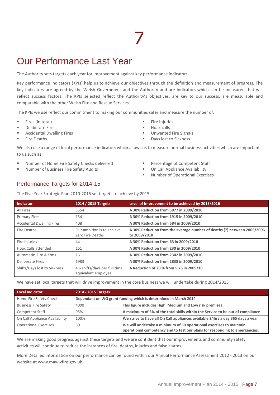# Our Performance Last Year

The Authority sets targets each year for improvement against key performance indicators.

Key performance indicators (KPIs) help us to achieve our objectives through the definition and measurement of progress. The key indicators are agreed by the Welsh Government and the Authority and are indicators which can be measured that will reflect success factors. The KPIs selected reflect the Authority's objectives, are key to our success, are measurable and comparable with the other Welsh Fire and Rescue Services.

The KPIs we use reflect our commitment to making our communities safer and measure the number of;

- Fires (in total)
- Deliberate Fires
- Accidental Dwelling Fires
- Fire Deaths
- Fire Injuries
- Hoax calls
- Unwanted Fire Signals
- Days lost to Sickness

We also use a range of local performance indicators which allows us to measure normal business activities which are important to us such as;

- Number of Home Fire Safety Checks delivered
- Number of Business Fire Safety Audits
- Percentage of Competent Staff
- **On Call Appliance Availability**
- Number of Operational Exercises

### Performance Targets for 2014-15

The Five Year Strategic Plan 2010-2015 set targets to achieve by 2015.

| <b>Indicator</b>                 | 2014 / 2015 Targets                                  | Level of Improvement to be achieved by 2015/2016                                        |
|----------------------------------|------------------------------------------------------|-----------------------------------------------------------------------------------------|
| All Fires                        | 3554                                                 | A 30% Reduction from 5077 in 2009/2010                                                  |
| <b>Primary Fires</b>             | 1341                                                 | A 30% Reduction from 1915 in 2009/2010                                                  |
| <b>Accidental Dwelling Fires</b> | 408                                                  | A 30% Reduction from 584 in 2009/2010                                                   |
| Fire Deaths                      | Our ambition is to achieve<br>Zero Fire Deaths       | A 30% Reduction from the average number of deaths (7) between 2005/2006<br>to 2009/2010 |
| Fire Injuries                    | 44                                                   | A 30% Reduction from 63 in 2009/2010                                                    |
| Hoax Calls attended              | 161                                                  | A 30% Reduction from 230 in 2009/2010                                                   |
| Automatic Fire Alarms            | 1611                                                 | A 30% Reduction from 2302 in 2009/2010                                                  |
| <b>Deliberate Fires</b>          | 1983                                                 | A 30% Reduction from 2833 in 2009/2010                                                  |
| Shifts/Days lost to Sickness     | 4.6 shifts/days per full time<br>equivalent employee | A Reduction of 20 % from 5.75 in 2009/10                                                |

We have set local targets that will drive improvement in the core business we will undertake during 2014/2015

| Local Indicator                | 2014 - 2015 Targets |                                                                                                                                                    |
|--------------------------------|---------------------|----------------------------------------------------------------------------------------------------------------------------------------------------|
| Home Fire Safety Check         |                     | Dependant on WG grant funding which is determined in March 2014                                                                                    |
| <b>Business Fire Safety</b>    | 4000                | This figure includes High, Medium and Low risk premises                                                                                            |
| <b>Competent Staff</b>         | 95%                 | A maximum of 5% of the total skills within the Service to be out of compliance                                                                     |
| On Call Appliance Availability | 100%                | We strive to have all On Call appliances available 24hrs a day 365 days a year                                                                     |
| <b>Operational Exercises</b>   | 50                  | We will undertake a minimum of 50 operational exercises to maintain<br>operational competency and to test our plans for responding to emergencies. |

We are making good progress against these targets and we are confident that our improvements and community safety activities will continue to reduce the instances of fire, deaths, injuries and false alarms.

More Detailed information on our performance can be found within our Annual Performance Assessment 2012 - 2013 on our website a[t www.mawwfire.gov.uk.](http://www.mawwfire.gov.uk/)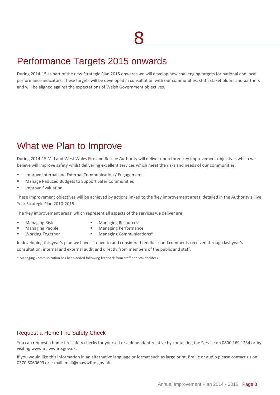# Performance Targets 2015 onwards

During 2014-15 as part of the new Strategic Plan 2015 onwards we will develop new challenging targets for national and local performance indicators. These targets will be developed in consultation with our communities, staff, stakeholders and partners and will be aligned against the expectations of Welsh Government objectives.

# What we Plan to Improve

During 2014-15 Mid and West Wales Fire and Rescue Authority will deliver upon three key improvement objectives which we believe will improve safety whilst delivering excellent services which meet the risks and needs of our communities.

- Improve Internal and External Communication / Engagement
- Manage Reduced Budgets to Support Safer Communities
- Improve Evaluation

These improvement objectives will be achieved by actions linked to the 'key improvement areas' detailed in the Authority's Five Year Strategic Plan 2010-2015.

The 'key improvement areas' which represent all aspects of the services we deliver are;

- Managing Risk
- **Managing Resources** Managing Performance
- Managing People Working Together
- **Managing Communications\***

In developing this year's plan we have listened to and considered feedback and comments received through last year's consultation, internal and external audit and directly from members of the public and staff.

\* Managing Communication has been added following feedback from staff and stakeholders.

### Request a Home Fire Safety Check

You can request a home fire safety checks for yourself or a dependant relative by contacting the Service on 0800 169 1234 or by visiting www.mawwfire.gov.uk.

If you would like this information in an alternative language or format such as large print, Braille or audio please contact us on 0370 6060699 or e-mail: mail@mawwfire.gov.uk.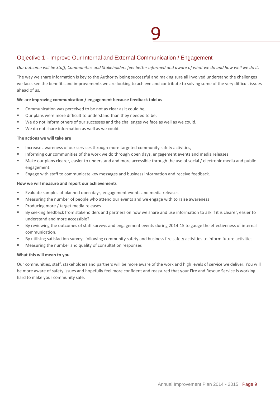### Objective 1 - Improve Our Internal and External Communication / Engagement

*Our outcome will be Staff, Communities and Stakeholders feel better informed and aware of what we do and how well we do it.*

The way we share information is key to the Authority being successful and making sure all involved understand the challenges we face, see the benefits and improvements we are looking to achieve and contribute to solving some of the very difficult issues ahead of us.

### **We are improving communication / engagement because feedback told us**

- Communication was perceived to be not as clear as it could be,
- Our plans were more difficult to understand than they needed to be,
- We do not inform others of our successes and the challenges we face as well as we could,
- We do not share information as well as we could.

### **The actions we will take are**

- Increase awareness of our services through more targeted community safety activities,
- Informing our communities of the work we do through open days, engagement events and media releases
- Make our plans clearer, easier to understand and more accessible through the use of social / electronic media and public engagement.
- Engage with staff to communicate key messages and business information and receive feedback.

### **How we will measure and report our achievements**

- Evaluate samples of planned open days, engagement events and media releases
- Measuring the number of people who attend our events and we engage with to raise awareness
- Producing more / target media releases
- By seeking feedback from stakeholders and partners on how we share and use information to ask if it is clearer, easier to understand and more accessible?
- By reviewing the outcomes of staff surveys and engagement events during 2014-15 to gauge the effectiveness of internal communication.
- By utilising satisfaction surveys following community safety and business fire safety activities to inform future activities.
- Measuring the number and quality of consultation responses

### **What this will mean to you**

Our communities, staff, stakeholders and partners will be more aware of the work and high levels of service we deliver. You will be more aware of safety issues and hopefully feel more confident and reassured that your Fire and Rescue Service is working hard to make your community safe.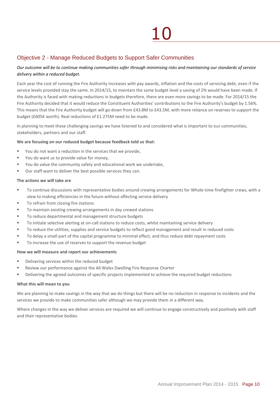## Objective 2 - Manage Reduced Budgets to Support Safer Communities

### *Our outcome will be to continue making communities safer through minimising risks and maintaining our standards of service delivery within a reduced budget.*

Each year the cost of running the Fire Authority increases with pay awards, inflation and the costs of servicing debt, even if the service levels provided stay the same. In 2014/15, to maintain the same budget level a saving of 2% would have been made. If the Authority is faced with making reductions in budgets therefore, there are even more savings to be made. For 2014/15 the Fire Authority decided that it would reduce the Constituent Authorities' contributions to the Fire Authority's budget by 1.56%. This means that the Fire Authority budget will go down from £43.8M to £43.5M, with more reliance on reserves to support the budget (£605K worth). Real reductions of £1.275M need to be made.

In planning to meet these challenging savings we have listened to and considered what is important to our communities, stakeholders, partners and our staff.

### **We are focusing on our reduced budget because feedback told us that:**

- You do not want a reduction in the services that we provide,
- You do want us to provide value for money,
- You do value the community safety and educational work we undertake,
- Our staff want to deliver the best possible services they can.

### **The actions we will take are**

- To continue discussions with representative bodies around crewing arrangements for Whole-time firefighter crews, with a view to making efficiencies in the future without affecting service delivery
- To refrain from closing fire stations
- To maintain existing crewing arrangements in day crewed stations
- To reduce departmental and management structure budgets
- To initiate selective alerting at on-call stations to reduce costs, whilst maintaining service delivery
- To reduce the utilities, supplies and service budgets to reflect good management and result in reduced costs
- To delay a small part of the capital programme to minimal effect, and thus reduce debt repayment costs
- To increase the use of reserves to support the revenue budget

### **How we will measure and report our achievements**

- Delivering services within the reduced budget
- Review our performance against the All Wales Dwelling Fire Response Charter
- Delivering the agreed outcomes of specific projects implemented to achieve the required budget reductions

### **What this will mean to you**

We are planning to make savings in the way that we do things but there will be no reduction in response to incidents and the services we provide to make communities safer although we may provide them in a different way.

Where changes in the way we deliver services are required we will continue to engage constructively and positively with staff and their representative bodies.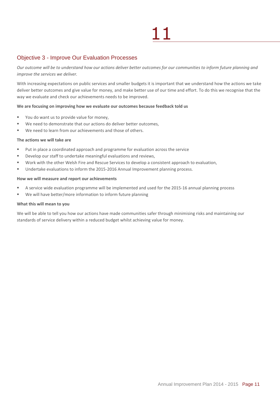### Objective 3 - Improve Our Evaluation Processes

*Our outcome will be to understand how our actions deliver better outcomes for our communities to inform future planning and improve the services we deliver.*

With increasing expectations on public services and smaller budgets it is important that we understand how the actions we take deliver better outcomes and give value for money, and make better use of our time and effort. To do this we recognise that the way we evaluate and check our achievements needs to be improved.

### **We are focusing on improving how we evaluate our outcomes because feedback told us**

- You do want us to provide value for money,
- We need to demonstrate that our actions do deliver better outcomes,
- We need to learn from our achievements and those of others.

### **The actions we will take are**

- Put in place a coordinated approach and programme for evaluation across the service
- Develop our staff to undertake meaningful evaluations and reviews,
- Work with the other Welsh Fire and Rescue Services to develop a consistent approach to evaluation,
- Undertake evaluations to inform the 2015-2016 Annual Improvement planning process.

#### **How we will measure and report our achievements**

- A service wide evaluation programme will be implemented and used for the 2015-16 annual planning process
- We will have better/more information to inform future planning

### **What this will mean to you**

We will be able to tell you how our actions have made communities safer through minimising risks and maintaining our standards of service delivery within a reduced budget whilst achieving value for money.